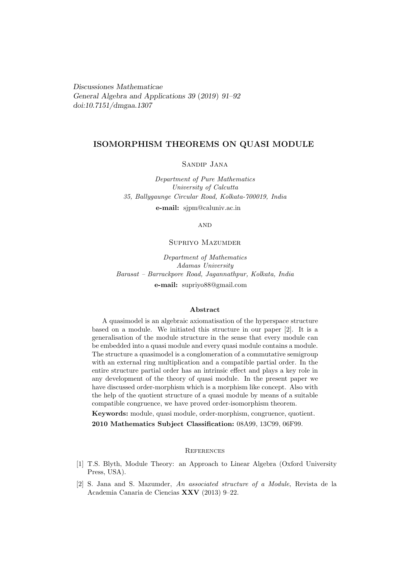Discussiones Mathematicae General Algebra and Applications 39 (2019) 91–92 [doi:10.7151/dmgaa.1307](http://dx.doi.org/10.7151/dmgaa.1307)

# ISOMORPHISM THEOREMS ON QUASI MODULE

## Sandip Jana

Department of Pure Mathematics University of Calcutta 35, Ballygaunge Circular Road, Kolkata-700019, India e-mail: sjpm@caluniv.ac.in

**AND** 

### Supriyo Mazumder

Department of Mathematics Adamas University Barasat – Barrackpore Road, Jagannathpur, Kolkata, India e-mail: supriyo88@gmail.com

#### Abstract

A quasimodel is an algebraic axiomatisation of the hyperspace structure based on a module. We initiated this structure in our paper [2]. It is a generalisation of the module structure in the sense that every module can be embedded into a quasi module and every quasi module contains a module. The structure a quasimodel is a conglomeration of a commutative semigroup with an external ring multiplication and a compatible partial order. In the entire structure partial order has an intrinsic effect and plays a key role in any development of the theory of quasi module. In the present paper we have discussed order-morphism which is a morphism like concept. Also with the help of the quotient structure of a quasi module by means of a suitable compatible congruence, we have proved order-isomorphism theorem.

Keywords: module, quasi module, order-morphism, congruence, quotient. 2010 Mathematics Subject Classification: 08A99, 13C99, 06F99.

#### **REFERENCES**

- [1] T.S. Blyth, Module Theory: an Approach to Linear Algebra (Oxford University Press, USA).
- [2] S. Jana and S. Mazumder, An associated structure of a Module, Revista de la Academia Canaria de Ciencias XXV (2013) 9–22.